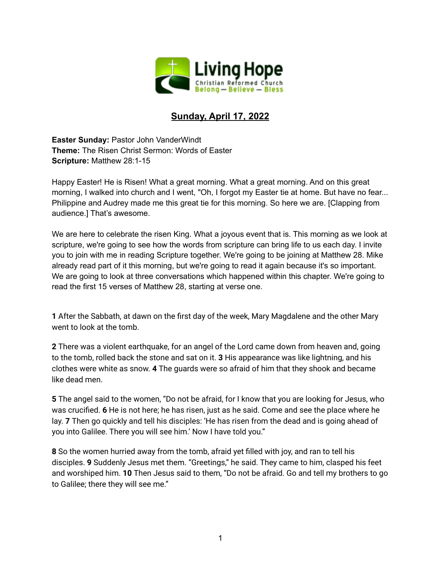

## **Sunday, April 17, 2022**

**Easter Sunday:** Pastor John VanderWindt **Theme:** The Risen Christ Sermon: Words of Easter **Scripture:** Matthew 28:1-15

Happy Easter! He is Risen! What a great morning. What a great morning. And on this great morning, I walked into church and I went, "Oh, I forgot my Easter tie at home. But have no fear... Philippine and Audrey made me this great tie for this morning. So here we are. [Clapping from audience.] That's awesome.

We are here to celebrate the risen King. What a joyous event that is. This morning as we look at scripture, we're going to see how the words from scripture can bring life to us each day. I invite you to join with me in reading Scripture together. We're going to be joining at Matthew 28. Mike already read part of it this morning, but we're going to read it again because it's so important. We are going to look at three conversations which happened within this chapter. We're going to read the first 15 verses of Matthew 28, starting at verse one.

**1** After the Sabbath, at dawn on the first day of the week, Mary Magdalene and the other Mary went to look at the tomb.

**2** There was a violent earthquake, for an angel of the Lord came down from heaven and, going to the tomb, rolled back the stone and sat on it. **3** His appearance was like lightning, and his clothes were white as snow. **4** The guards were so afraid of him that they shook and became like dead men.

**5** The angel said to the women, "Do not be afraid, for I know that you are looking for Jesus, who was crucified. **6** He is not here; he has risen, just as he said. Come and see the place where he lay. **7** Then go quickly and tell his disciples: 'He has risen from the dead and is going ahead of you into Galilee. There you will see him.' Now I have told you."

**8** So the women hurried away from the tomb, afraid yet filled with joy, and ran to tell his disciples. **9** Suddenly Jesus met them. "Greetings," he said. They came to him, clasped his feet and worshiped him. **10** Then Jesus said to them, "Do not be afraid. Go and tell my brothers to go to Galilee; there they will see me."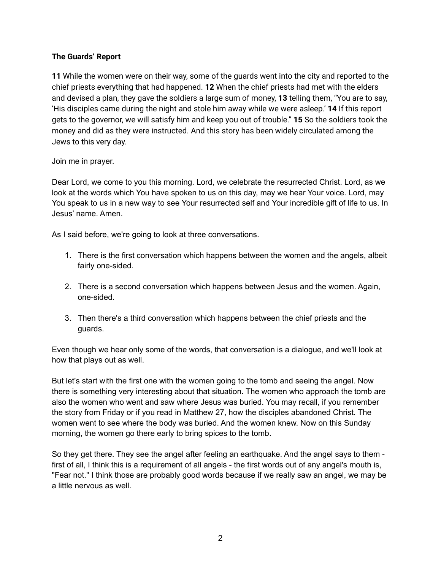## **The Guards' Report**

**11** While the women were on their way, some of the guards went into the city and reported to the chief priests everything that had happened. **12** When the chief priests had met with the elders and devised a plan, they gave the soldiers a large sum of money, **13** telling them, "You are to say, 'His disciples came during the night and stole him away while we were asleep.' **14** If this report gets to the governor, we will satisfy him and keep you out of trouble." **15** So the soldiers took the money and did as they were instructed. And this story has been widely circulated among the Jews to this very day.

## Join me in prayer.

Dear Lord, we come to you this morning. Lord, we celebrate the resurrected Christ. Lord, as we look at the words which You have spoken to us on this day, may we hear Your voice. Lord, may You speak to us in a new way to see Your resurrected self and Your incredible gift of life to us. In Jesus' name. Amen.

As I said before, we're going to look at three conversations.

- 1. There is the first conversation which happens between the women and the angels, albeit fairly one-sided.
- 2. There is a second conversation which happens between Jesus and the women. Again, one-sided.
- 3. Then there's a third conversation which happens between the chief priests and the guards.

Even though we hear only some of the words, that conversation is a dialogue, and we'll look at how that plays out as well.

But let's start with the first one with the women going to the tomb and seeing the angel. Now there is something very interesting about that situation. The women who approach the tomb are also the women who went and saw where Jesus was buried. You may recall, if you remember the story from Friday or if you read in Matthew 27, how the disciples abandoned Christ. The women went to see where the body was buried. And the women knew. Now on this Sunday morning, the women go there early to bring spices to the tomb.

So they get there. They see the angel after feeling an earthquake. And the angel says to them first of all, I think this is a requirement of all angels - the first words out of any angel's mouth is, "Fear not." I think those are probably good words because if we really saw an angel, we may be a little nervous as well.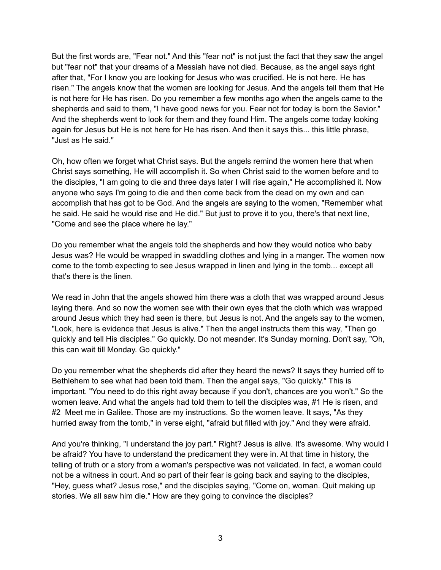But the first words are, "Fear not." And this "fear not" is not just the fact that they saw the angel but "fear not" that your dreams of a Messiah have not died. Because, as the angel says right after that, "For I know you are looking for Jesus who was crucified. He is not here. He has risen." The angels know that the women are looking for Jesus. And the angels tell them that He is not here for He has risen. Do you remember a few months ago when the angels came to the shepherds and said to them, "I have good news for you. Fear not for today is born the Savior." And the shepherds went to look for them and they found Him. The angels come today looking again for Jesus but He is not here for He has risen. And then it says this... this little phrase, "Just as He said."

Oh, how often we forget what Christ says. But the angels remind the women here that when Christ says something, He will accomplish it. So when Christ said to the women before and to the disciples, "I am going to die and three days later I will rise again," He accomplished it. Now anyone who says I'm going to die and then come back from the dead on my own and can accomplish that has got to be God. And the angels are saying to the women, "Remember what he said. He said he would rise and He did." But just to prove it to you, there's that next line, "Come and see the place where he lay."

Do you remember what the angels told the shepherds and how they would notice who baby Jesus was? He would be wrapped in swaddling clothes and lying in a manger. The women now come to the tomb expecting to see Jesus wrapped in linen and lying in the tomb... except all that's there is the linen.

We read in John that the angels showed him there was a cloth that was wrapped around Jesus laying there. And so now the women see with their own eyes that the cloth which was wrapped around Jesus which they had seen is there, but Jesus is not. And the angels say to the women, "Look, here is evidence that Jesus is alive." Then the angel instructs them this way, "Then go quickly and tell His disciples." Go quickly. Do not meander. It's Sunday morning. Don't say, "Oh, this can wait till Monday. Go quickly."

Do you remember what the shepherds did after they heard the news? It says they hurried off to Bethlehem to see what had been told them. Then the angel says, "Go quickly." This is important. "You need to do this right away because if you don't, chances are you won't." So the women leave. And what the angels had told them to tell the disciples was, #1 He is risen, and #2 Meet me in Galilee. Those are my instructions. So the women leave. It says, "As they hurried away from the tomb," in verse eight, "afraid but filled with joy." And they were afraid.

And you're thinking, "I understand the joy part." Right? Jesus is alive. It's awesome. Why would I be afraid? You have to understand the predicament they were in. At that time in history, the telling of truth or a story from a woman's perspective was not validated. In fact, a woman could not be a witness in court. And so part of their fear is going back and saying to the disciples, "Hey, guess what? Jesus rose," and the disciples saying, "Come on, woman. Quit making up stories. We all saw him die." How are they going to convince the disciples?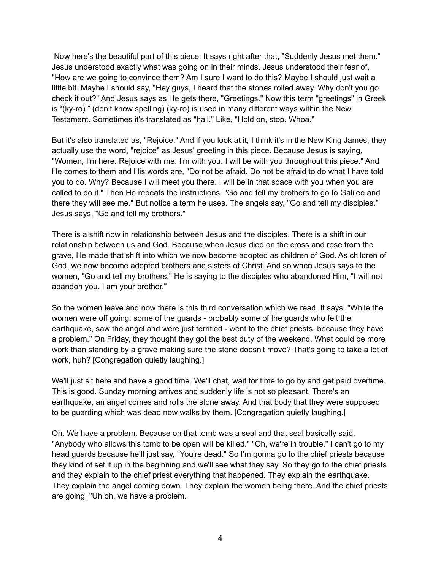Now here's the beautiful part of this piece. It says right after that, "Suddenly Jesus met them." Jesus understood exactly what was going on in their minds. Jesus understood their fear of, "How are we going to convince them? Am I sure I want to do this? Maybe I should just wait a little bit. Maybe I should say, "Hey guys, I heard that the stones rolled away. Why don't you go check it out?" And Jesus says as He gets there, "Greetings." Now this term "greetings" in Greek is "(ky-ro)." (don't know spelling) (ky-ro) is used in many different ways within the New Testament. Sometimes it's translated as "hail." Like, "Hold on, stop. Whoa."

But it's also translated as, "Rejoice." And if you look at it, I think it's in the New King James, they actually use the word, "rejoice" as Jesus' greeting in this piece. Because Jesus is saying, "Women, I'm here. Rejoice with me. I'm with you. I will be with you throughout this piece." And He comes to them and His words are, "Do not be afraid. Do not be afraid to do what I have told you to do. Why? Because I will meet you there. I will be in that space with you when you are called to do it." Then He repeats the instructions. "Go and tell my brothers to go to Galilee and there they will see me." But notice a term he uses. The angels say, "Go and tell my disciples." Jesus says, "Go and tell my brothers."

There is a shift now in relationship between Jesus and the disciples. There is a shift in our relationship between us and God. Because when Jesus died on the cross and rose from the grave, He made that shift into which we now become adopted as children of God. As children of God, we now become adopted brothers and sisters of Christ. And so when Jesus says to the women, "Go and tell my brothers," He is saying to the disciples who abandoned Him, "I will not abandon you. I am your brother."

So the women leave and now there is this third conversation which we read. It says, "While the women were off going, some of the guards - probably some of the guards who felt the earthquake, saw the angel and were just terrified - went to the chief priests, because they have a problem." On Friday, they thought they got the best duty of the weekend. What could be more work than standing by a grave making sure the stone doesn't move? That's going to take a lot of work, huh? [Congregation quietly laughing.]

We'll just sit here and have a good time. We'll chat, wait for time to go by and get paid overtime. This is good. Sunday morning arrives and suddenly life is not so pleasant. There's an earthquake, an angel comes and rolls the stone away. And that body that they were supposed to be guarding which was dead now walks by them. [Congregation quietly laughing.]

Oh. We have a problem. Because on that tomb was a seal and that seal basically said, "Anybody who allows this tomb to be open will be killed." "Oh, we're in trouble." I can't go to my head guards because he'll just say, "You're dead." So I'm gonna go to the chief priests because they kind of set it up in the beginning and we'll see what they say. So they go to the chief priests and they explain to the chief priest everything that happened. They explain the earthquake. They explain the angel coming down. They explain the women being there. And the chief priests are going, "Uh oh, we have a problem.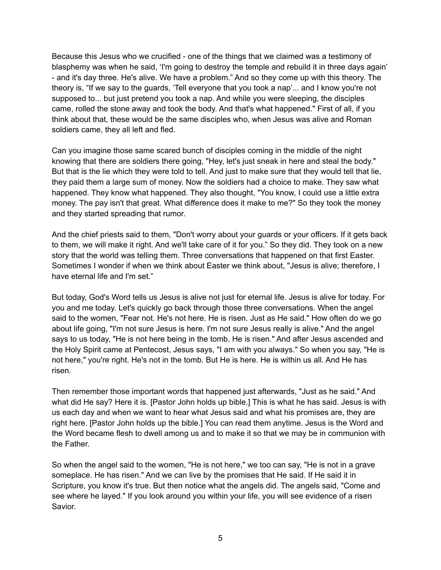Because this Jesus who we crucified - one of the things that we claimed was a testimony of blasphemy was when he said, 'I'm going to destroy the temple and rebuild it in three days again' - and it's day three. He's alive. We have a problem." And so they come up with this theory. The theory is, "If we say to the guards, 'Tell everyone that you took a nap'... and I know you're not supposed to... but just pretend you took a nap. And while you were sleeping, the disciples came, rolled the stone away and took the body. And that's what happened." First of all, if you think about that, these would be the same disciples who, when Jesus was alive and Roman soldiers came, they all left and fled.

Can you imagine those same scared bunch of disciples coming in the middle of the night knowing that there are soldiers there going, "Hey, let's just sneak in here and steal the body." But that is the lie which they were told to tell. And just to make sure that they would tell that lie, they paid them a large sum of money. Now the soldiers had a choice to make. They saw what happened. They know what happened. They also thought, "You know, I could use a little extra money. The pay isn't that great. What difference does it make to me?" So they took the money and they started spreading that rumor.

And the chief priests said to them, "Don't worry about your guards or your officers. If it gets back to them, we will make it right. And we'll take care of it for you." So they did. They took on a new story that the world was telling them. Three conversations that happened on that first Easter. Sometimes I wonder if when we think about Easter we think about, "Jesus is alive; therefore, I have eternal life and I'm set."

But today, God's Word tells us Jesus is alive not just for eternal life. Jesus is alive for today. For you and me today. Let's quickly go back through those three conversations. When the angel said to the women, "Fear not. He's not here. He is risen. Just as He said." How often do we go about life going, "I'm not sure Jesus is here. I'm not sure Jesus really is alive." And the angel says to us today, "He is not here being in the tomb. He is risen." And after Jesus ascended and the Holy Spirit came at Pentecost, Jesus says, "I am with you always." So when you say, "He is not here," you're right. He's not in the tomb. But He is here. He is within us all. And He has risen.

Then remember those important words that happened just afterwards, "Just as he said." And what did He say? Here it is. [Pastor John holds up bible.] This is what he has said. Jesus is with us each day and when we want to hear what Jesus said and what his promises are, they are right here. [Pastor John holds up the bible.] You can read them anytime. Jesus is the Word and the Word became flesh to dwell among us and to make it so that we may be in communion with the Father.

So when the angel said to the women, "He is not here," we too can say, "He is not in a grave someplace. He has risen." And we can live by the promises that He said. If He said it in Scripture, you know it's true. But then notice what the angels did. The angels said, "Come and see where he layed." If you look around you within your life, you will see evidence of a risen Savior.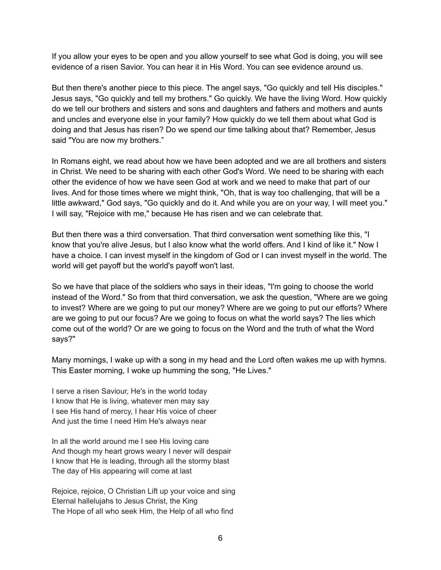If you allow your eyes to be open and you allow yourself to see what God is doing, you will see evidence of a risen Savior. You can hear it in His Word. You can see evidence around us.

But then there's another piece to this piece. The angel says, "Go quickly and tell His disciples." Jesus says, "Go quickly and tell my brothers." Go quickly. We have the living Word. How quickly do we tell our brothers and sisters and sons and daughters and fathers and mothers and aunts and uncles and everyone else in your family? How quickly do we tell them about what God is doing and that Jesus has risen? Do we spend our time talking about that? Remember, Jesus said "You are now my brothers."

In Romans eight, we read about how we have been adopted and we are all brothers and sisters in Christ. We need to be sharing with each other God's Word. We need to be sharing with each other the evidence of how we have seen God at work and we need to make that part of our lives. And for those times where we might think, "Oh, that is way too challenging, that will be a little awkward," God says, "Go quickly and do it. And while you are on your way, I will meet you." I will say, "Rejoice with me," because He has risen and we can celebrate that.

But then there was a third conversation. That third conversation went something like this, "I know that you're alive Jesus, but I also know what the world offers. And I kind of like it." Now I have a choice. I can invest myself in the kingdom of God or I can invest myself in the world. The world will get payoff but the world's payoff won't last.

So we have that place of the soldiers who says in their ideas, "I'm going to choose the world instead of the Word." So from that third conversation, we ask the question, "Where are we going to invest? Where are we going to put our money? Where are we going to put our efforts? Where are we going to put our focus? Are we going to focus on what the world says? The lies which come out of the world? Or are we going to focus on the Word and the truth of what the Word says?"

Many mornings, I wake up with a song in my head and the Lord often wakes me up with hymns. This Easter morning, I woke up humming the song, "He Lives."

I serve a risen Saviour, He's in the world today I know that He is living, whatever men may say I see His hand of mercy, I hear His voice of cheer And just the time I need Him He's always near

In all the world around me I see His loving care And though my heart grows weary I never will despair I know that He is leading, through all the stormy blast The day of His appearing will come at last

Rejoice, rejoice, O Christian Lift up your voice and sing Eternal hallelujahs to Jesus Christ, the King The Hope of all who seek Him, the Help of all who find